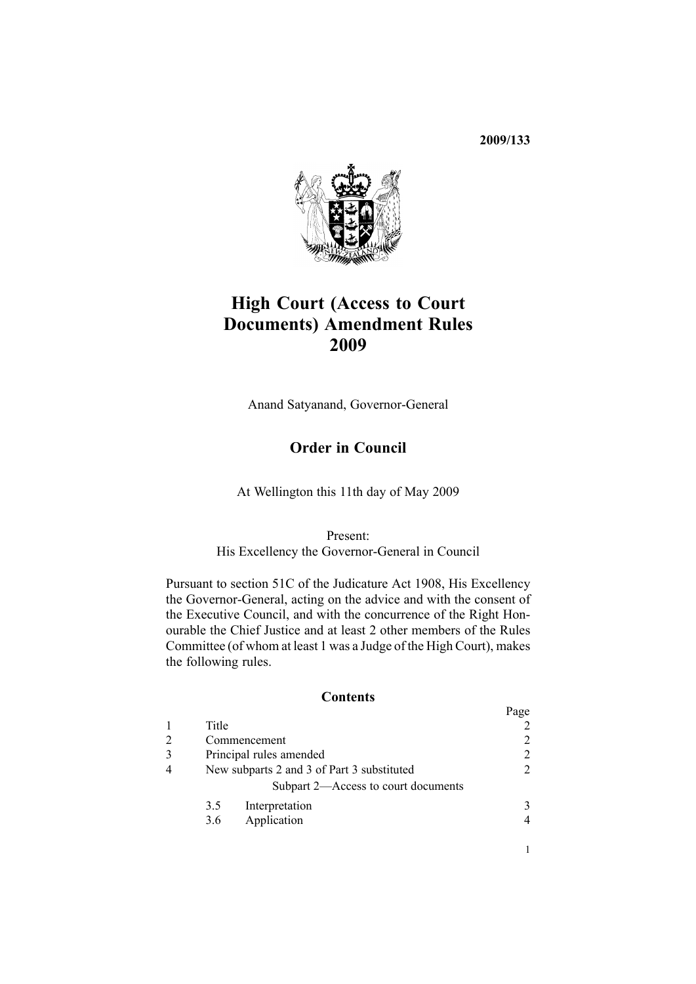**2009/133**



# **High Court (Access to Court Documents) Amendment Rules 2009**

Anand Satyanand, Governor-General

## **Order in Council**

At Wellington this 11th day of May 2009

Present: His Excellency the Governor-General in Council

Pursuant to [section](http://www.legislation.govt.nz/pdfLink.aspx?id=DLM146607) 51C of the Judicature Act 1908, His Excellency the Governor-General, acting on the advice and with the consent of the Executive Council, and with the concurrence of the Right Honourable the Chief Justice and at least 2 other members of the Rules Committee (of whom at least 1 was <sup>a</sup> Judge of the High Court), makes the following rules.

### **Contents**

|                                            |                                     | Page |
|--------------------------------------------|-------------------------------------|------|
| Title                                      |                                     |      |
| Commencement                               |                                     |      |
| Principal rules amended                    |                                     |      |
| New subparts 2 and 3 of Part 3 substituted |                                     |      |
|                                            | Subpart 2—Access to court documents |      |
| 3.5                                        | Interpretation                      |      |
| 3.6                                        | Application                         |      |
|                                            |                                     |      |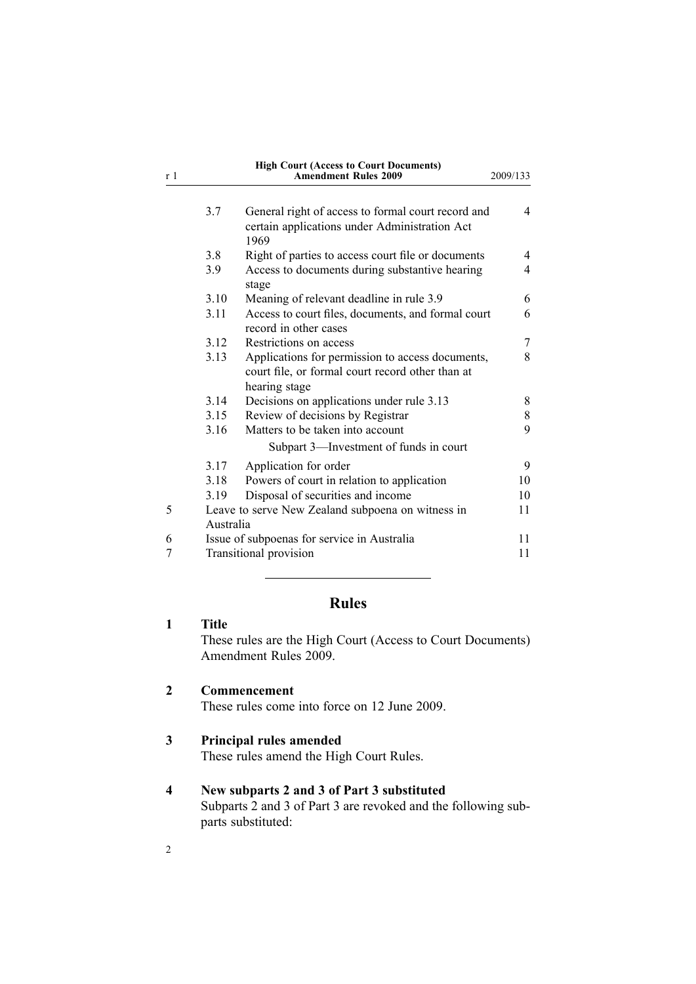<span id="page-1-0"></span>

| r 1 |      | <b>High Court (Access to Court Documents)</b><br><b>Amendment Rules 2009</b>                                          | 2009/133 |  |
|-----|------|-----------------------------------------------------------------------------------------------------------------------|----------|--|
|     | 3.7  | General right of access to formal court record and<br>certain applications under Administration Act<br>1969           | 4        |  |
|     | 3.8  | Right of parties to access court file or documents                                                                    | 4        |  |
|     | 3.9  | Access to documents during substantive hearing<br>stage                                                               | 4        |  |
|     | 3.10 | Meaning of relevant deadline in rule 3.9                                                                              | 6        |  |
|     | 3.11 | Access to court files, documents, and formal court<br>record in other cases                                           | 6        |  |
|     | 3.12 | Restrictions on access                                                                                                | 7        |  |
|     | 3.13 | Applications for permission to access documents,<br>court file, or formal court record other than at<br>hearing stage | 8        |  |
|     | 3.14 | Decisions on applications under rule 3.13                                                                             | 8        |  |
|     | 3.15 | Review of decisions by Registrar                                                                                      | 8        |  |
|     | 3.16 | Matters to be taken into account                                                                                      | 9        |  |
|     |      | Subpart 3—Investment of funds in court                                                                                |          |  |
|     | 3.17 | Application for order                                                                                                 | 9        |  |
|     | 3.18 | Powers of court in relation to application                                                                            | 10       |  |
|     | 3.19 | Disposal of securities and income                                                                                     | 10       |  |
| 5   |      | Leave to serve New Zealand subpoena on witness in<br>11<br>Australia                                                  |          |  |
| 6   |      | Issue of subpoenas for service in Australia<br>11                                                                     |          |  |
| 7   |      | <b>Transitional provision</b>                                                                                         |          |  |

## **Rules**

## **1 Title** These rules are the High Court (Access to Court Documents)

Amendment Rules 2009.

## **2 Commencement**

These rules come into force on 12 June 2009.

## **3 Principal rules amended**

These rules amend the High Court Rules.

## **4 New subparts 2 and 3 of Part 3 substituted**

[Subparts](http://www.legislation.govt.nz/pdfLink.aspx?id=DLM1818589) 2 and [3](http://www.legislation.govt.nz/pdfLink.aspx?id=DLM1818601) of Part 3 are revoked and the following subparts substituted: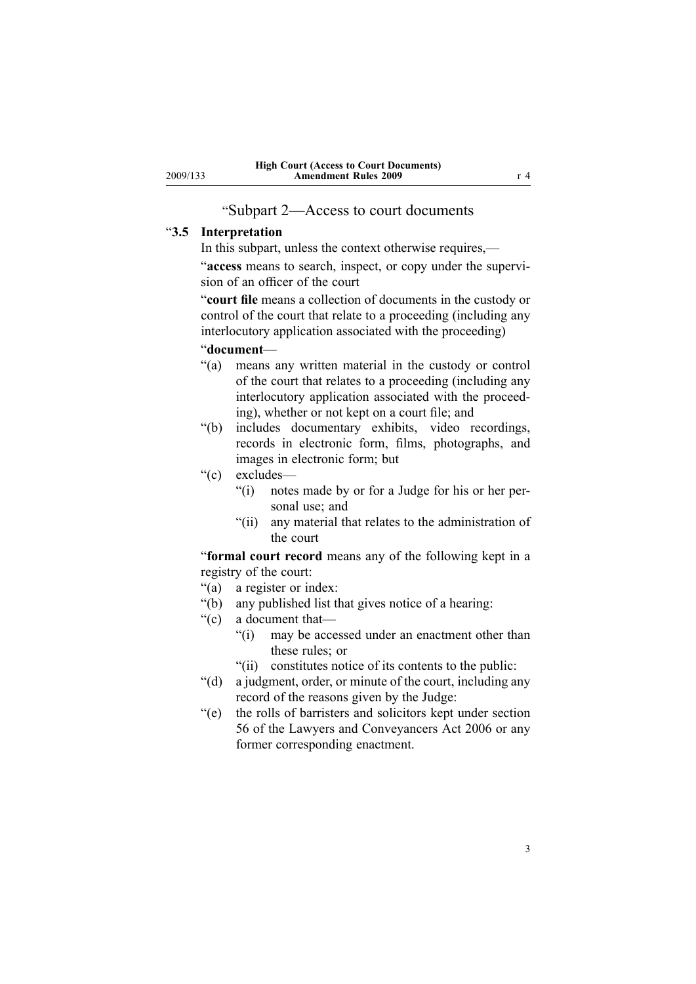## "Subpart 2—Access to court documents

#### <span id="page-2-0"></span>"**3.5 Interpretation**

In this subpart, unless the context otherwise requires,—

"**access** means to search, inspect, or copy under the supervision of an officer of the court

"**court file** means <sup>a</sup> collection of documents in the custody or control of the court that relate to <sup>a</sup> proceeding (including any interlocutory application associated with the proceeding)

"**document**—

- "(a) means any written material in the custody or control of the court that relates to <sup>a</sup> proceeding (including any interlocutory application associated with the proceeding), whether or not kept on <sup>a</sup> court file; and
- "(b) includes documentary exhibits, video recordings, records in electronic form, films, photographs, and images in electronic form; but

"(c) excludes—

- "(i) notes made by or for <sup>a</sup> Judge for his or her personal use; and
- "(ii) any material that relates to the administration of the court

"**formal court record** means any of the following kept in <sup>a</sup> registry of the court:

- "(a) <sup>a</sup> register or index:
- "(b) any published list that gives notice of <sup>a</sup> hearing:
- "(c) <sup>a</sup> document that—
	- "(i) may be accessed under an enactment other than these rules; or
	- "(ii) constitutes notice of its contents to the public:
- "(d) <sup>a</sup> judgment, order, or minute of the court, including any record of the reasons given by the Judge:
- "(e) the rolls of barristers and solicitors kept under section 56 of the Lawyers and Conveyancers Act 2006 or any former corresponding enactment.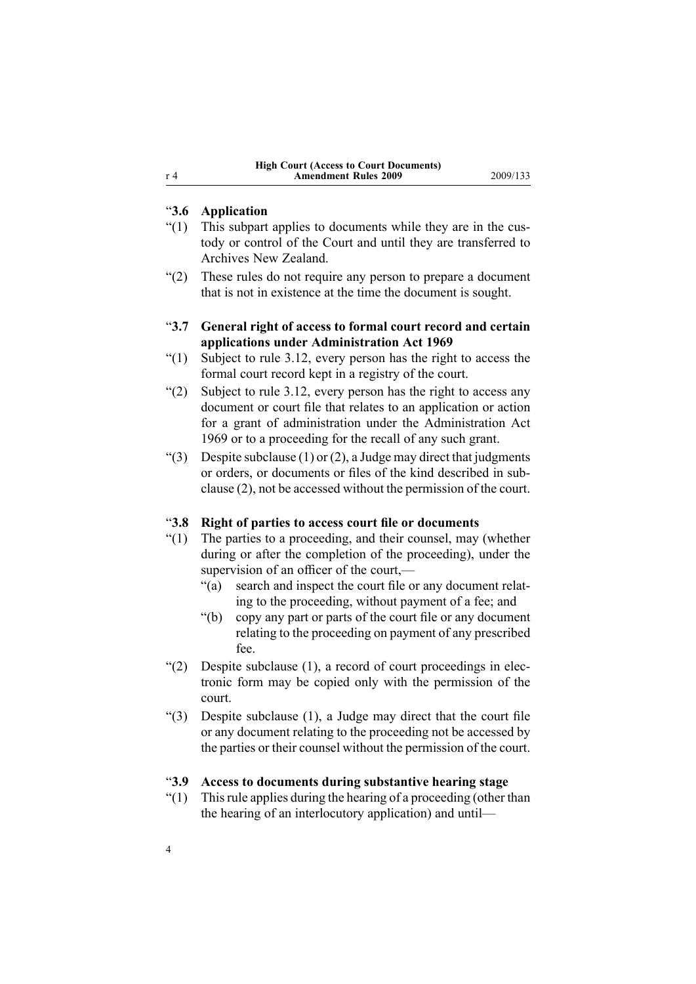### <span id="page-3-0"></span>"**3.6 Application**

- "(1) This subpart applies to documents while they are in the custody or control of the Court and until they are transferred to Archives New Zealand.
- "(2) These rules do not require any person to prepare <sup>a</sup> document that is not in existence at the time the document is sought.

### "**3.7 General right of access to formal court record and certain applications under Administration Act 1969**

- " $(1)$  Subject to rule 3.12, every person has the right to access the formal court record kept in <sup>a</sup> registry of the court.
- "(2) Subject to rule 3.12, every person has the right to access any document or court file that relates to an application or action for <sup>a</sup> gran<sup>t</sup> of administration under the Administration Act 1969 or to <sup>a</sup> proceeding for the recall of any such grant.
- "(3) Despite subclause (1) or (2), a Judge may direct that judgments or orders, or documents or files of the kind described in subclause (2), not be accessed without the permission of the court.

#### "**3.8 Right of parties to access court file or documents**

- "(1) The parties to <sup>a</sup> proceeding, and their counsel, may (whether during or after the completion of the proceeding), under the supervision of an officer of the court,—
	- "(a) search and inspect the court file or any document relating to the proceeding, without paymen<sup>t</sup> of <sup>a</sup> fee; and
	- "(b) copy any par<sup>t</sup> or parts of the court file or any document relating to the proceeding on paymen<sup>t</sup> of any prescribed fee.
- "(2) Despite subclause (1), <sup>a</sup> record of court proceedings in electronic form may be copied only with the permission of the court.
- "(3) Despite subclause (1), <sup>a</sup> Judge may direct that the court file or any document relating to the proceeding not be accessed by the parties or their counsel without the permission of the court.

#### "**3.9 Access to documents during substantive hearing stage**

 $''(1)$  This rule applies during the hearing of a proceeding (other than the hearing of an interlocutory application) and until—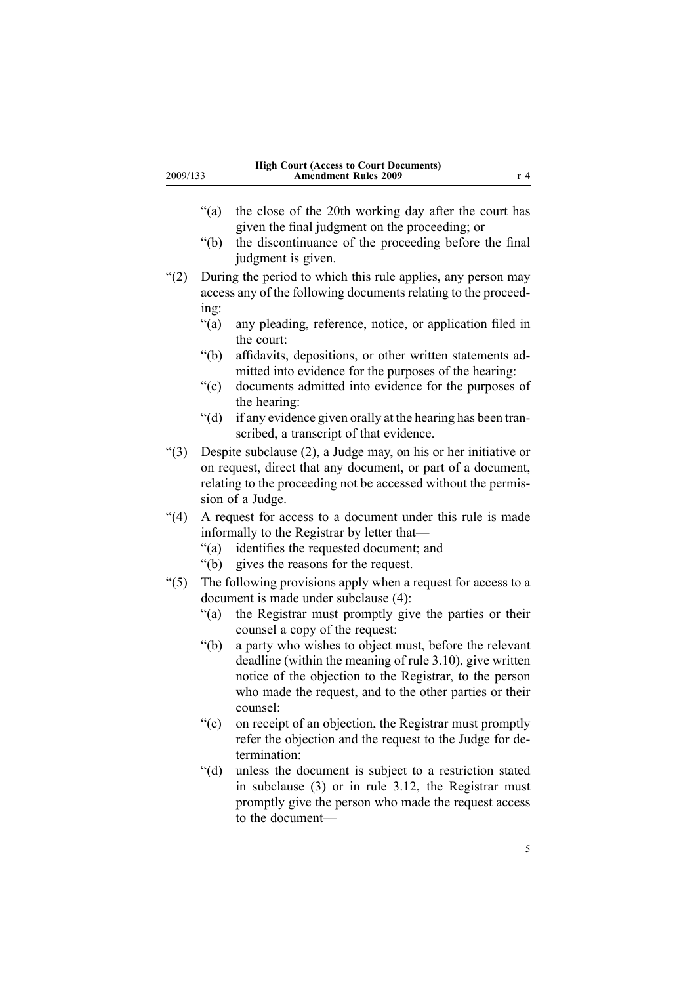- "(a) the close of the 20th working day after the court has given the final judgment on the proceeding; or
- "(b) the discontinuance of the proceeding before the final judgment is given.
- "(2) During the period to which this rule applies, any person may access any of the following documents relating to the proceeding:
	- "(a) any pleading, reference, notice, or application filed in the court:
	- "(b) affidavits, depositions, or other written statements admitted into evidence for the purposes of the hearing:
	- "(c) documents admitted into evidence for the purposes of the hearing:
	- "(d) if any evidence given orally at the hearing has been transcribed, <sup>a</sup> transcript of that evidence.
- "(3) Despite subclause (2), <sup>a</sup> Judge may, on his or her initiative or on request, direct that any document, or par<sup>t</sup> of <sup>a</sup> document, relating to the proceeding not be accessed without the permission of <sup>a</sup> Judge.
- "(4) A reques<sup>t</sup> for access to <sup>a</sup> document under this rule is made informally to the Registrar by letter that—
	- "(a) identifies the requested document; and
	- "(b) gives the reasons for the request.
- " $(5)$  The following provisions apply when a request for access to a document is made under subclause (4):
	- "(a) the Registrar must promptly give the parties or their counsel <sup>a</sup> copy of the request:
	- "(b) <sup>a</sup> party who wishes to object must, before the relevant deadline (within the meaning of rule 3.10), give written notice of the objection to the Registrar, to the person who made the request, and to the other parties or their counsel:
	- "(c) on receipt of an objection, the Registrar must promptly refer the objection and the reques<sup>t</sup> to the Judge for determination:
	- "(d) unless the document is subject to <sup>a</sup> restriction stated in subclause (3) or in rule 3.12, the Registrar must promptly give the person who made the reques<sup>t</sup> access to the document—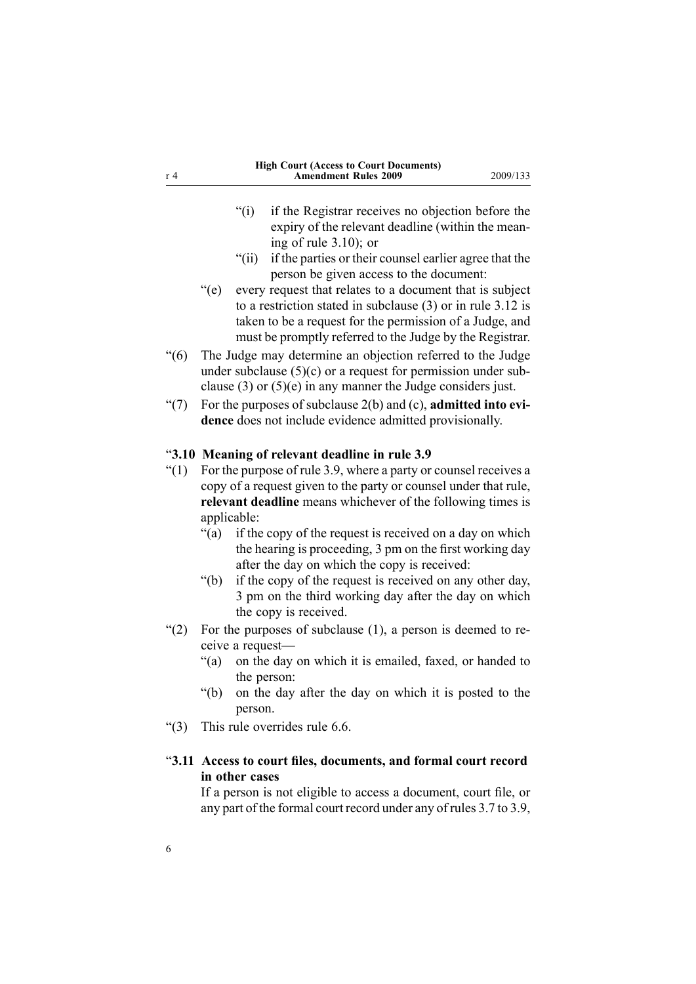- <span id="page-5-0"></span>"(i) if the Registrar receives no objection before the expiry of the relevant deadline (within the meaning of rule 3.10); or
- "(ii) if the parties or their counsel earlier agree that the person be given access to the document:
- "(e) every reques<sup>t</sup> that relates to <sup>a</sup> document that is subject to <sup>a</sup> restriction stated in subclause (3) or in rule 3.12 is taken to be <sup>a</sup> reques<sup>t</sup> for the permission of <sup>a</sup> Judge, and must be promptly referred to the Judge by the Registrar.
- "(6) The Judge may determine an objection referred to the Judge under subclause  $(5)(c)$  or a request for permission under subclause (3) or (5)(e) in any manner the Judge considers just.
- "(7) For the purposes of subclause 2(b) and (c), **admitted into evidence** does not include evidence admitted provisionally.

#### "**3.10 Meaning of relevant deadline in rule 3.9**

- " $(1)$  For the purpose of rule 3.9, where a party or counsel receives a copy of <sup>a</sup> reques<sup>t</sup> given to the party or counsel under that rule, **relevant deadline** means whichever of the following times is applicable:
	- "(a) if the copy of the reques<sup>t</sup> is received on <sup>a</sup> day on which the hearing is proceeding, 3 pm on the first working day after the day on which the copy is received:
	- "(b) if the copy of the reques<sup>t</sup> is received on any other day, 3 pm on the third working day after the day on which the copy is received.
- "(2) For the purposes of subclause  $(1)$ , a person is deemed to receive <sup>a</sup> request—
	- "(a) on the day on which it is emailed, faxed, or handed to the person:
	- "(b) on the day after the day on which it is posted to the person.
- "(3) This rule overrides rule 6.6.

## "**3.11 Access to court files, documents, and formal court record in other cases**

If <sup>a</sup> person is not eligible to access <sup>a</sup> document, court file, or any par<sup>t</sup> of the formal court record under any of rules 3.7 to 3.9,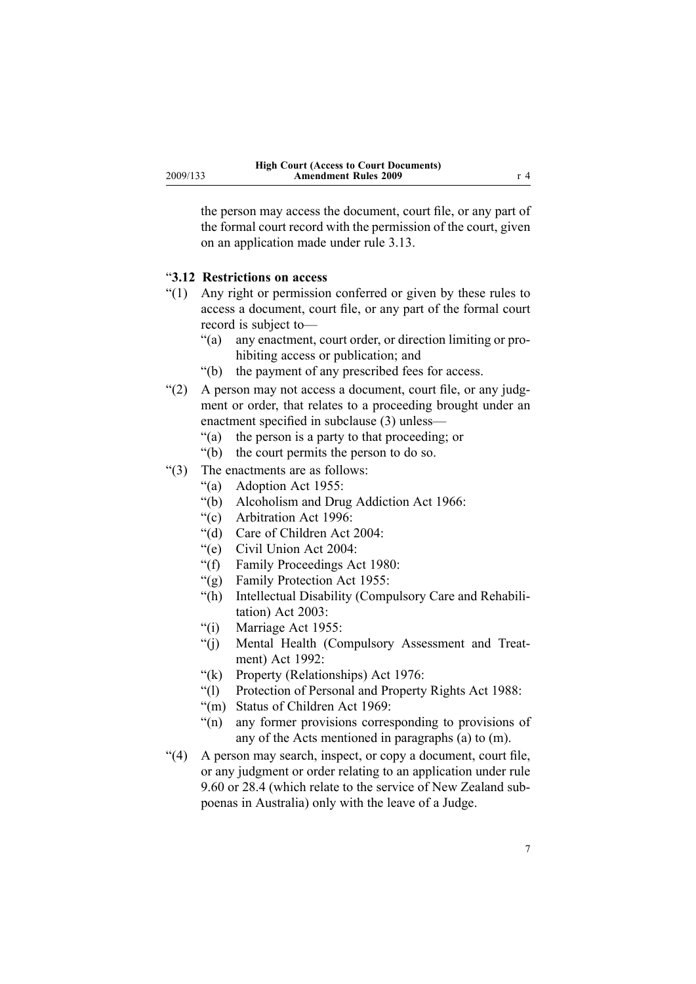<span id="page-6-0"></span>the person may access the document, court file, or any par<sup>t</sup> of the formal court record with the permission of the court, given on an application made under rule 3.13.

### "**3.12 Restrictions on access**

- "(1) Any right or permission conferred or given by these rules to access <sup>a</sup> document, court file, or any par<sup>t</sup> of the formal court record is subject to—
	- "(a) any enactment, court order, or direction limiting or prohibiting access or publication; and
	- "(b) the paymen<sup>t</sup> of any prescribed fees for access.
- "(2) A person may not access <sup>a</sup> document, court file, or any judgment or order, that relates to <sup>a</sup> proceeding brought under an enactment specified in subclause (3) unless—
	- "(a) the person is <sup>a</sup> party to that proceeding; or
	- "(b) the court permits the person to do so.
- "(3) The enactments are as follows:
	- "(a) Adoption Act 1955:
	- "(b) Alcoholism and Drug Addiction Act 1966:
	- "(c) Arbitration Act 1996:
	- "(d) Care of Children Act 2004:
	- "(e) Civil Union Act 2004:
	- "(f) Family Proceedings Act 1980:
	- "(g) Family Protection Act 1955:
	- "(h) Intellectual Disability (Compulsory Care and Rehabilitation) Act 2003:
	- "(i) Marriage Act 1955:
	- "(j) Mental Health (Compulsory Assessment and Treatment) Act 1992:
	- "(k) Property (Relationships) Act 1976:
	- "(l) Protection of Personal and Property Rights Act 1988:
	- "(m) Status of Children Act 1969:
	- "(n) any former provisions corresponding to provisions of any of the Acts mentioned in paragraphs (a) to (m).
- "(4) A person may search, inspect, or copy <sup>a</sup> document, court file, or any judgment or order relating to an application under rule 9.60 or 28.4 (which relate to the service of New Zealand subpoenas in Australia) only with the leave of <sup>a</sup> Judge.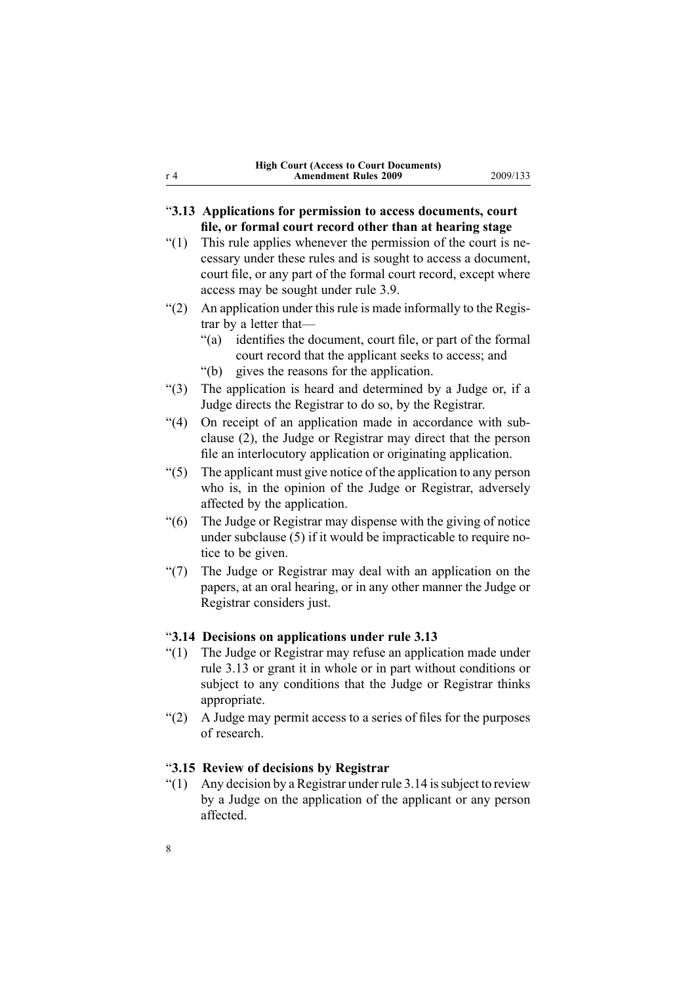<span id="page-7-0"></span>

| r <sub>4</sub> | <b>Amendment Rules 2009</b>                                   | 2009/133 |  |  |  |
|----------------|---------------------------------------------------------------|----------|--|--|--|
|                |                                                               |          |  |  |  |
|                | "3.13 Applications for permission to access documents, court  |          |  |  |  |
|                | file, or formal court record other than at hearing stage      |          |  |  |  |
| (1)            | This rule applies whenever the permission of the court is ne- |          |  |  |  |

**High Court (Access to Court Documents)**

- cessary under these rules and is sought to access <sup>a</sup> document, court file, or any par<sup>t</sup> of the formal court record, excep<sup>t</sup> where access may be sought under rule 3.9.
- "(2) An application under this rule is made informally to the Registrar by <sup>a</sup> letter that—
	- "(a) identifies the document, court file, or par<sup>t</sup> of the formal court record that the applicant seeks to access; and
	- "(b) gives the reasons for the application.
- "(3) The application is heard and determined by <sup>a</sup> Judge or, if <sup>a</sup> Judge directs the Registrar to do so, by the Registrar.
- "(4) On receipt of an application made in accordance with subclause (2), the Judge or Registrar may direct that the person file an interlocutory application or originating application.
- "(5) The applicant must give notice of the application to any person who is, in the opinion of the Judge or Registrar, adversely affected by the application.
- "(6) The Judge or Registrar may dispense with the giving of notice under subclause (5) if it would be impracticable to require notice to be given.
- "(7) The Judge or Registrar may deal with an application on the papers, at an oral hearing, or in any other manner the Judge or Registrar considers just.

### "**3.14 Decisions on applications under rule 3.13**

- "(1) The Judge or Registrar may refuse an application made under rule 3.13 or gran<sup>t</sup> it in whole or in par<sup>t</sup> without conditions or subject to any conditions that the Judge or Registrar thinks appropriate.
- "(2) A Judge may permit access to <sup>a</sup> series of files for the purposes of research.

#### "**3.15 Review of decisions by Registrar**

"(1) Any decision by a Registrar under rule 3.14 is subject to review by <sup>a</sup> Judge on the application of the applicant or any person affected.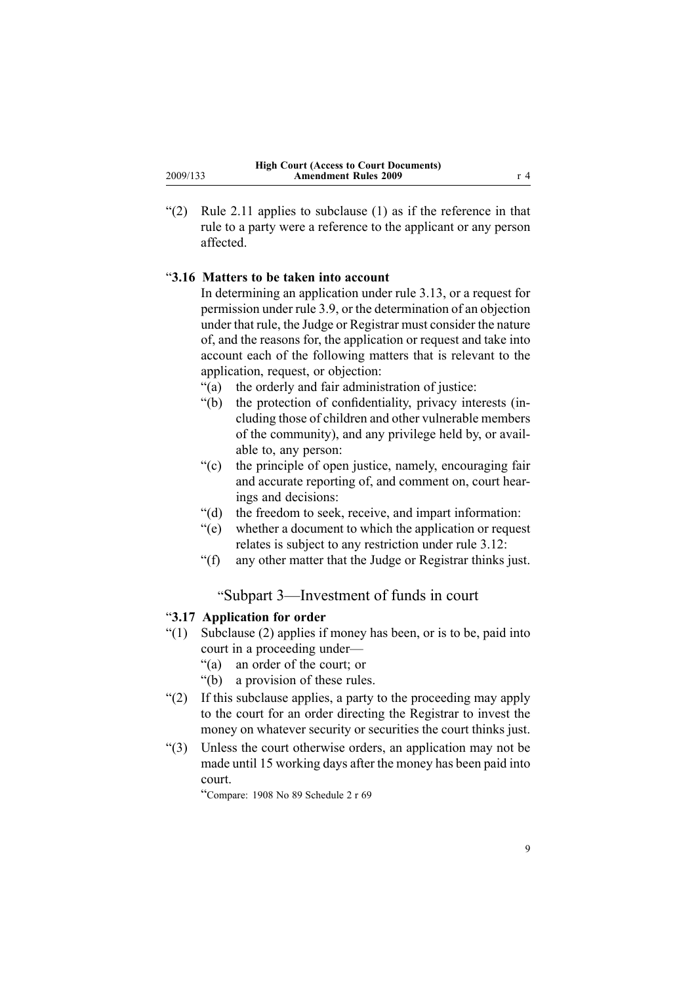<span id="page-8-0"></span>"(2) Rule 2.11 applies to subclause  $(1)$  as if the reference in that rule to <sup>a</sup> party were <sup>a</sup> reference to the applicant or any person affected.

### "**3.16 Matters to be taken into account**

In determining an application under rule 3.13, or <sup>a</sup> reques<sup>t</sup> for permission under rule 3.9, or the determination of an objection under that rule, the Judge or Registrar must consider the nature of, and the reasons for, the application or reques<sup>t</sup> and take into account each of the following matters that is relevant to the application, request, or objection:

- "(a) the orderly and fair administration of justice:
- "(b) the protection of confidentiality, privacy interests (including those of children and other vulnerable members of the community), and any privilege held by, or available to, any person:
- "(c) the principle of open justice, namely, encouraging fair and accurate reporting of, and comment on, court hearings and decisions:
- "(d) the freedom to seek, receive, and impart information:
- "(e) whether <sup>a</sup> document to which the application or reques<sup>t</sup> relates is subject to any restriction under rule 3.12:
- "(f) any other matter that the Judge or Registrar thinks just.

## "Subpart 3—Investment of funds in court

#### "**3.17 Application for order**

- "(1) Subclause (2) applies if money has been, or is to be, paid into court in <sup>a</sup> proceeding under—
	- "(a) an order of the court; or
	- "(b) <sup>a</sup> provision of these rules.
- "(2) If this subclause applies, <sup>a</sup> party to the proceeding may apply to the court for an order directing the Registrar to invest the money on whatever security or securities the court thinks just.
- "(3) Unless the court otherwise orders, an application may not be made until 15 working days after the money has been paid into court.

"Compare: <sup>1908</sup> No <sup>89</sup> Schedule <sup>2</sup> <sup>r</sup> <sup>69</sup>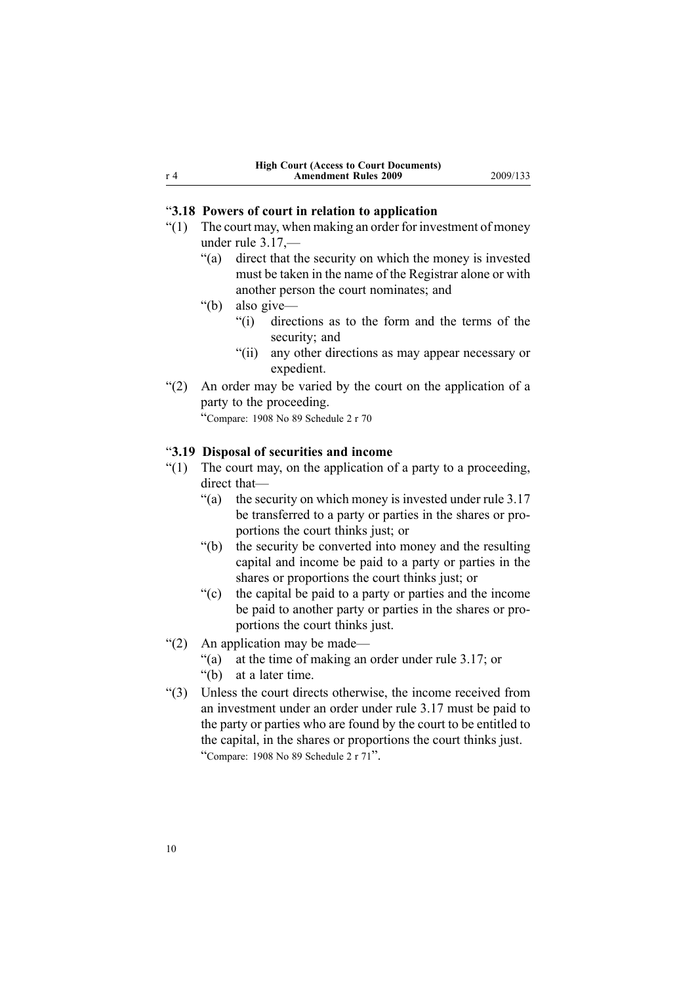### <span id="page-9-0"></span>"**3.18 Powers of court in relation to application**

- $(1)$  The court may, when making an order for investment of money under rule 3.17,—
	- "(a) direct that the security on which the money is invested must be taken in the name of the Registrar alone or with another person the court nominates; and
	- "(b) also give—
		- "(i) directions as to the form and the terms of the security; and
		- "(ii) any other directions as may appear necessary or expedient.
- "(2) An order may be varied by the court on the application of <sup>a</sup> party to the proceeding.

"Compare: <sup>1908</sup> No <sup>89</sup> Schedule <sup>2</sup> <sup>r</sup> <sup>70</sup>

#### "**3.19 Disposal of securities and income**

- $(1)$  The court may, on the application of a party to a proceeding, direct that—
	- "(a) the security on which money is invested under rule 3.17 be transferred to <sup>a</sup> party or parties in the shares or proportions the court thinks just; or
	- "(b) the security be converted into money and the resulting capital and income be paid to <sup>a</sup> party or parties in the shares or proportions the court thinks just; or
	- "(c) the capital be paid to <sup>a</sup> party or parties and the income be paid to another party or parties in the shares or proportions the court thinks just.
- "(2) An application may be made—
	- "(a) at the time of making an order under rule 3.17; or
	- "(b) at <sup>a</sup> later time.
- "(3) Unless the court directs otherwise, the income received from an investment under an order under rule 3.17 must be paid to the party or parties who are found by the court to be entitled to the capital, in the shares or proportions the court thinks just. "Compare: <sup>1908</sup> No <sup>89</sup> Schedule <sup>2</sup> <sup>r</sup> <sup>71</sup>".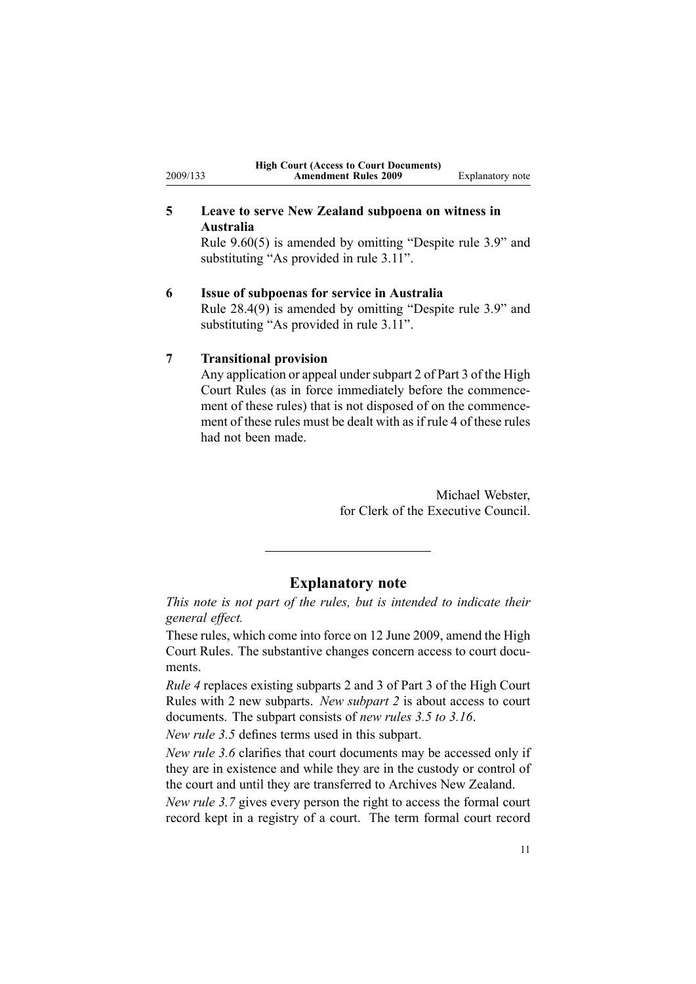## **5 Leave to serve New Zealand subpoena on witness in Australia**

Rule [9.60\(5\)](http://www.legislation.govt.nz/pdfLink.aspx?id=DLM1819087) is amended by omitting "Despite rule 3.9" and substituting "As provided in rule 3.11".

## **6 Issue of subpoenas for service in Australia**

Rule [28.4\(9\)](http://www.legislation.govt.nz/pdfLink.aspx?id=DLM1819965) is amended by omitting "Despite rule 3.9" and substituting "As provided in rule 3.11".

## **7 Transitional provision**

<span id="page-10-0"></span>2009/133

Any application or appeal under [subpart](http://www.legislation.govt.nz/pdfLink.aspx?id=DLM1818589) 2 of Part 3 of the High Court Rules (as in force immediately before the commencement of these rules) that is not disposed of on the commencement of these rules must be dealt with as if [rule](#page-1-0) 4 of these rules had not been made.

> Michael Webster, for Clerk of the Executive Council.

## **Explanatory note**

*This note is not par<sup>t</sup> of the rules, but is intended to indicate their general effect.*

These rules, which come into force on 12 June 2009, amend the High Court Rules. The substantive changes concern access to court documents.

*[Rule](#page-1-0) 4* replaces existing [subparts](http://www.legislation.govt.nz/pdfLink.aspx?id=DLM1818589) 2 and [3](http://www.legislation.govt.nz/pdfLink.aspx?id=DLM1818601) of Part 3 of the High Court Rules with 2 new subparts. *New subpart 2* is about access to court documents. The subpart consists of *new rules 3.5 to 3.16*.

*New rule 3.5* defines terms used in this subpart.

*New rule 3.6* clarifies that court documents may be accessed only if they are in existence and while they are in the custody or control of the court and until they are transferred to Archives New Zealand.

*New rule 3.7* gives every person the right to access the formal court record kept in <sup>a</sup> registry of <sup>a</sup> court. The term formal court record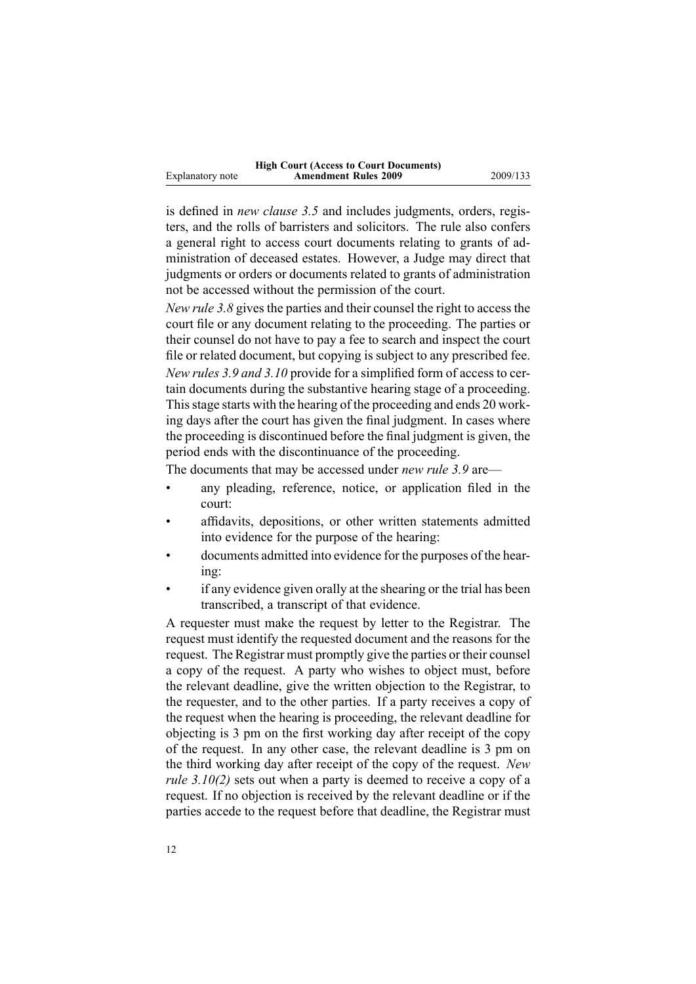|                  | <b>High Court (Access to Court Documents)</b> |
|------------------|-----------------------------------------------|
| Explanatory note | <b>Amendment Rules 2009</b>                   |

is defined in *new clause 3.5* and includes judgments, orders, registers, and the rolls of barristers and solicitors. The rule also confers <sup>a</sup> general right to access court documents relating to grants of administration of deceased estates. However, <sup>a</sup> Judge may direct that judgments or orders or documents related to grants of administration not be accessed without the permission of the court.

**Amendment Rules 2009** 2009/133

*New rule 3.8* gives the parties and their counsel the right to access the court file or any document relating to the proceeding. The parties or their counsel do not have to pay <sup>a</sup> fee to search and inspect the court file or related document, but copying is subject to any prescribed fee. *New rules 3.9 and 3.10* provide for <sup>a</sup> simplified form of access to certain documents during the substantive hearing stage of <sup>a</sup> proceeding. This stage starts with the hearing of the proceeding and ends 20 working days after the court has given the final judgment. In cases where the proceeding is discontinued before the final judgment is given, the period ends with the discontinuance of the proceeding.

The documents that may be accessed under *new rule 3.9* are—

- • any pleading, reference, notice, or application filed in the court:
- • affidavits, depositions, or other written statements admitted into evidence for the purpose of the hearing:
- • documents admitted into evidence for the purposes of the hearing:
- • if any evidence given orally at the shearing or the trial has been transcribed, <sup>a</sup> transcript of that evidence.

A requester must make the reques<sup>t</sup> by letter to the Registrar. The reques<sup>t</sup> must identify the requested document and the reasons for the request. The Registrar must promptly give the parties or their counsel <sup>a</sup> copy of the request. A party who wishes to object must, before the relevant deadline, give the written objection to the Registrar, to the requester, and to the other parties. If <sup>a</sup> party receives <sup>a</sup> copy of the reques<sup>t</sup> when the hearing is proceeding, the relevant deadline for objecting is 3 pm on the first working day after receipt of the copy of the request. In any other case, the relevant deadline is 3 pm on the third working day after receipt of the copy of the request. *New rule 3.10(2)* sets out when <sup>a</sup> party is deemed to receive <sup>a</sup> copy of <sup>a</sup> request. If no objection is received by the relevant deadline or if the parties accede to the reques<sup>t</sup> before that deadline, the Registrar must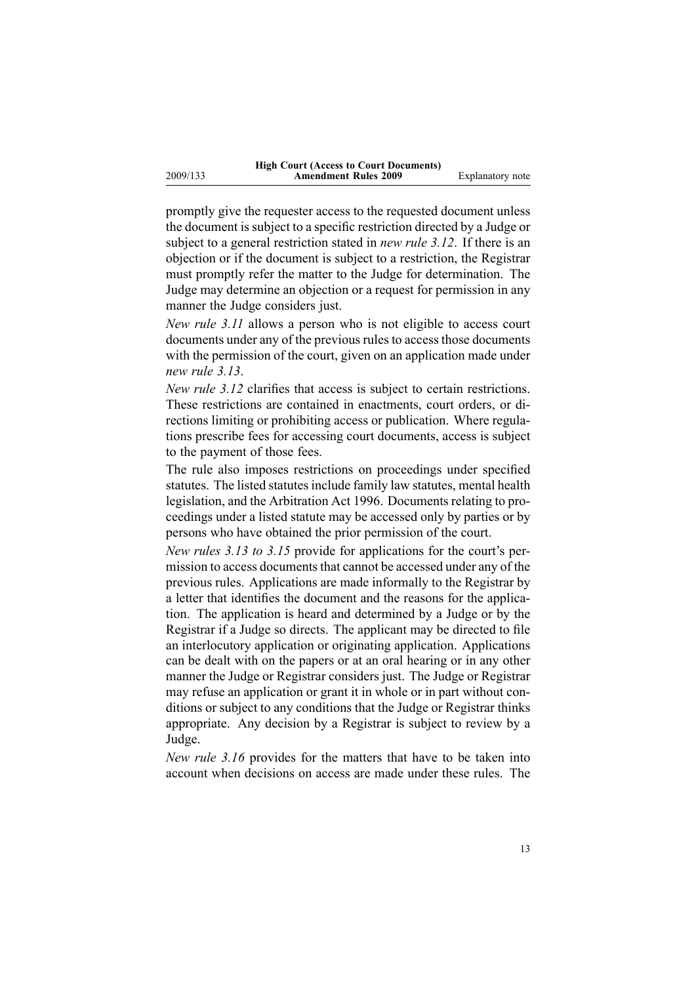2009/133

promptly give the requester access to the requested document unless the document is subject to <sup>a</sup> specific restriction directed by <sup>a</sup> Judge or subject to <sup>a</sup> general restriction stated in *new rule 3.12*. If there is an objection or if the document is subject to <sup>a</sup> restriction, the Registrar must promptly refer the matter to the Judge for determination. The Judge may determine an objection or <sup>a</sup> reques<sup>t</sup> for permission in any manner the Judge considers just.

*New rule 3.11* allows <sup>a</sup> person who is not eligible to access court documents under any of the previous rules to access those documents with the permission of the court, given on an application made under *new rule 3.13*.

*New rule 3.12* clarifies that access is subject to certain restrictions. These restrictions are contained in enactments, court orders, or directions limiting or prohibiting access or publication. Where regulations prescribe fees for accessing court documents, access is subject to the paymen<sup>t</sup> of those fees.

The rule also imposes restrictions on proceedings under specified statutes. The listed statutes include family law statutes, mental health legislation, and the Arbitration Act 1996. Documents relating to proceedings under <sup>a</sup> listed statute may be accessed only by parties or by persons who have obtained the prior permission of the court.

*New rules 3.13 to 3.15* provide for applications for the court's permission to access documents that cannot be accessed under any of the previous rules. Applications are made informally to the Registrar by <sup>a</sup> letter that identifies the document and the reasons for the application. The application is heard and determined by <sup>a</sup> Judge or by the Registrar if <sup>a</sup> Judge so directs. The applicant may be directed to file an interlocutory application or originating application. Applications can be dealt with on the papers or at an oral hearing or in any other manner the Judge or Registrar considers just. The Judge or Registrar may refuse an application or gran<sup>t</sup> it in whole or in par<sup>t</sup> without conditions or subject to any conditions that the Judge or Registrar thinks appropriate. Any decision by <sup>a</sup> Registrar is subject to review by <sup>a</sup> Judge.

*New rule 3.16* provides for the matters that have to be taken into account when decisions on access are made under these rules. The